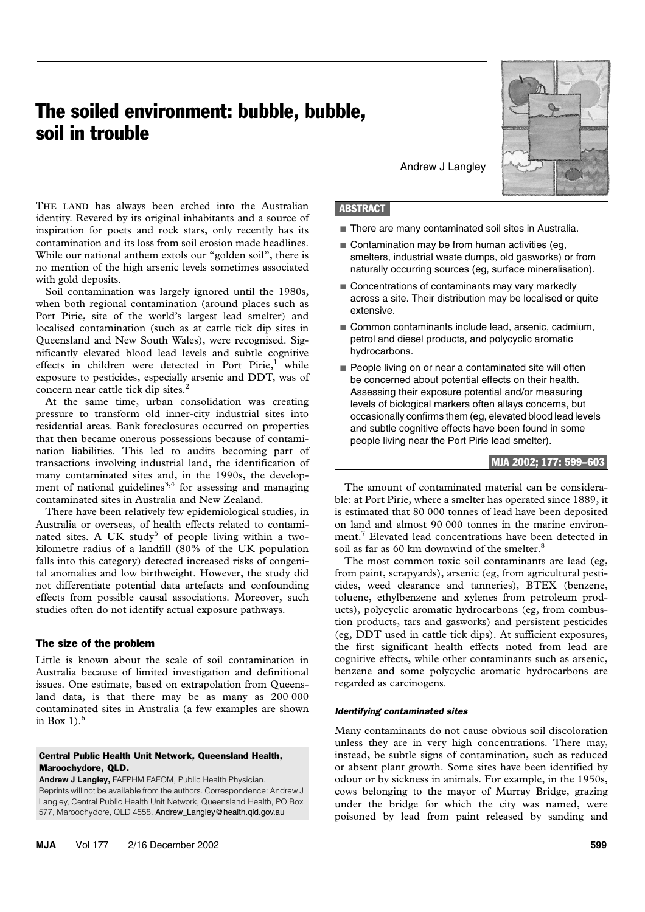# The soiled environment: bubble, bubble, soil in trouble

inspiration for poets and rock stars, only recently has its contamination and its loss from soil erosion made headlines. While our national anthem extols our "golden soil", there is no mention of the high arsenic levels sometimes associated **THE LAND** has always been etched into the Australian identity. Revered by its original inhabitants and a source of with gold deposits.

Soil contamination was largely ignored until the 1980s, when both regional contamination (around places such as Port Pirie, site of the world's largest lead smelter) and localised contamination (such as at cattle tick dip sites in Queensland and New South Wales), were recognised. Significantly elevated blood lead levels and subtle cognitive effects in children were detected in Port Pirie,<sup>1</sup> while exposure to pesticides, especially arsenic and DDT, was of concern near cattle tick dip sites.<sup>2</sup>

At the same time, urban consolidation was creating pressure to transform old inner-city industrial sites into residential areas. Bank foreclosures occurred on properties that then became onerous possessions because of contamination liabilities. This led to audits becoming part of transactions involving industrial land, the identification of many contaminated sites and, in the 1990s, the development of national guidelines<sup>3,4</sup> for assessing and managing contaminated sites in Australia and New Zealand.

There have been relatively few epidemiological studies, in Australia or overseas, of health effects related to contaminated sites. A UK study<sup>5</sup> of people living within a twokilometre radius of a landfill (80% of the UK population falls into this category) detected increased risks of congenital anomalies and low birthweight. However, the study did not differentiate potential data artefacts and confounding effects from possible causal associations. Moreover, such studies often do not identify actual exposure pathways.

## The size of the problem

Little is known about the scale of soil contamination in Australia because of limited investigation and definitional issues. One estimate, based on extrapolation from Queensland data, is that there may be as many as 200 000 contaminated sites in Australia (a few examples are shown in Box  $1$ ).<sup>6</sup>

#### Central Public Health Unit Network, Queensland Health, Maroochydore, QLD.

**Andrew J Langley,** FAFPHM FAFOM, Public Health Physician. Reprints will not be available from the authors. Correspondence: Andrew J Langley, Central Public Health Unit Network, Queensland Health, PO Box 577, Maroochydore, QLD 4558. Andrew\_Langley@health.qld.gov.au



Andrew J Langley

# **ABSTRACT**

- There are many contaminated soil sites in Australia.
- $\blacksquare$  Contamination may be from human activities (eq. smelters, industrial waste dumps, old gasworks) or from naturally occurring sources (eg, surface mineralisation).
- Concentrations of contaminants may vary markedly across a site. Their distribution may be localised or quite extensive.
- Common contaminants include lead, arsenic, cadmium, petrol and diesel products, and polycyclic aromatic hydrocarbons.
- People living on or near a contaminated site will often be concerned about potential effects on their health. Assessing their exposure potential and/or measuring levels of biological markers often allays concerns, but occasionally confirms them (eg, elevated blood lead levels and subtle cognitive effects have been found in some people living near the Port Pirie lead smelter).

#### MJA 2002; 177: 599–603

The amount of contaminated material can be considerable: at Port Pirie, where a smelter has operated since 1889, it is estimated that 80 000 tonnes of lead have been deposited on land and almost 90 000 tonnes in the marine environment.<sup>7</sup> Elevated lead concentrations have been detected in soil as far as 60 km downwind of the smelter.<sup>8</sup>

The most common toxic soil contaminants are lead (eg, from paint, scrapyards), arsenic (eg, from agricultural pesticides, weed clearance and tanneries), BTEX (benzene, toluene, ethylbenzene and xylenes from petroleum products), polycyclic aromatic hydrocarbons (eg, from combustion products, tars and gasworks) and persistent pesticides (eg, DDT used in cattle tick dips). At sufficient exposures, the first significant health effects noted from lead are cognitive effects, while other contaminants such as arsenic, benzene and some polycyclic aromatic hydrocarbons are regarded as carcinogens.

#### *Identifying contaminated sites*

Many contaminants do not cause obvious soil discoloration unless they are in very high concentrations. There may, instead, be subtle signs of contamination, such as reduced or absent plant growth. Some sites have been identified by odour or by sickness in animals. For example, in the 1950s, cows belonging to the mayor of Murray Bridge, grazing under the bridge for which the city was named, were poisoned by lead from paint released by sanding and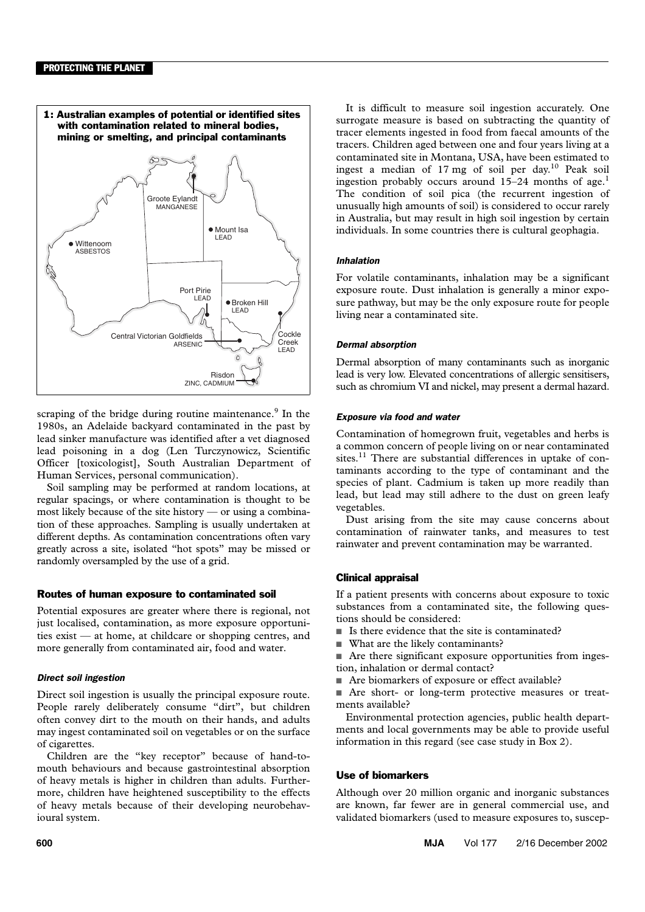

scraping of the bridge during routine maintenance.<sup>9</sup> In the 1980s, an Adelaide backyard contaminated in the past by lead sinker manufacture was identified after a vet diagnosed lead poisoning in a dog (Len Turczynowicz, Scientific Officer [toxicologist], South Australian Department of Human Services, personal communication).

Soil sampling may be performed at random locations, at regular spacings, or where contamination is thought to be most likely because of the site history — or using a combination of these approaches. Sampling is usually undertaken at different depths. As contamination concentrations often vary greatly across a site, isolated "hot spots" may be missed or randomly oversampled by the use of a grid.

## Routes of human exposure to contaminated soil

Potential exposures are greater where there is regional, not just localised, contamination, as more exposure opportunities exist — at home, at childcare or shopping centres, and more generally from contaminated air, food and water.

## *Direct soil ingestion*

Direct soil ingestion is usually the principal exposure route. People rarely deliberately consume "dirt", but children often convey dirt to the mouth on their hands, and adults may ingest contaminated soil on vegetables or on the surface of cigarettes.

Children are the "key receptor" because of hand-tomouth behaviours and because gastrointestinal absorption of heavy metals is higher in children than adults. Furthermore, children have heightened susceptibility to the effects of heavy metals because of their developing neurobehavioural system.

It is difficult to measure soil ingestion accurately. One surrogate measure is based on subtracting the quantity of tracer elements ingested in food from faecal amounts of the tracers. Children aged between one and four years living at a contaminated site in Montana, USA, have been estimated to ingest a median of 17 mg of soil per day.10 Peak soil ingestion probably occurs around  $15-24$  months of age.<sup>1</sup> The condition of soil pica (the recurrent ingestion of unusually high amounts of soil) is considered to occur rarely in Australia, but may result in high soil ingestion by certain individuals. In some countries there is cultural geophagia.

#### *Inhalation*

For volatile contaminants, inhalation may be a significant exposure route. Dust inhalation is generally a minor exposure pathway, but may be the only exposure route for people living near a contaminated site.

#### *Dermal absorption*

Dermal absorption of many contaminants such as inorganic lead is very low. Elevated concentrations of allergic sensitisers, such as chromium VI and nickel, may present a dermal hazard.

#### *Exposure via food and water*

Contamination of homegrown fruit, vegetables and herbs is a common concern of people living on or near contaminated sites.<sup>11</sup> There are substantial differences in uptake of contaminants according to the type of contaminant and the species of plant. Cadmium is taken up more readily than lead, but lead may still adhere to the dust on green leafy vegetables.

Dust arising from the site may cause concerns about contamination of rainwater tanks, and measures to test rainwater and prevent contamination may be warranted.

# Clinical appraisal

If a patient presents with concerns about exposure to toxic substances from a contaminated site, the following questions should be considered:

- Is there evidence that the site is contaminated?
- What are the likely contaminants?
- Are there significant exposure opportunities from ingestion, inhalation or dermal contact?
- Are biomarkers of exposure or effect available?

■ Are short- or long-term protective measures or treatments available?

Environmental protection agencies, public health departments and local governments may be able to provide useful information in this regard (see case study in Box 2).

# Use of biomarkers

Although over 20 million organic and inorganic substances are known, far fewer are in general commercial use, and validated biomarkers (used to measure exposures to, suscep-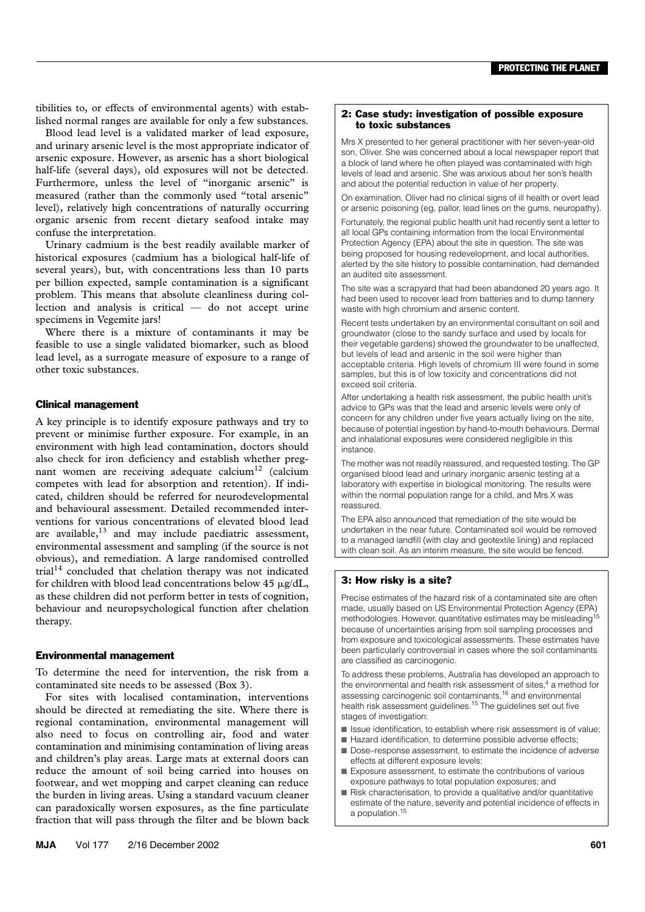tibilities to, or effects of environmental agents) with established normal ranges are available for only a few substances.

Blood lead level is a validated marker of lead exposure, and urinary arsenic level is the most appropriate indicator of arsenic exposure. However, as arsenic has a short biological half-life (several days), old exposures will not be detected. Furthermore, unless the level of "inorganic arsenic" is measured (rather than the commonly used "total arsenic" level), relatively high concentrations of naturally occurring organic arsenic from recent dietary seafood intake may confuse the interpretation.

Urinary cadmium is the best readily available marker of historical exposures (cadmium has a biological half-life of several years), but, with concentrations less than 10 parts per billion expected, sample contamination is a significant problem. This means that absolute cleanliness during collection and analysis is critical — do not accept urine specimens in Vegemite jars!

Where there is a mixture of contaminants it may be feasible to use a single validated biomarker, such as blood lead level, as a surrogate measure of exposure to a range of other toxic substances.

# Clinical management

A key principle is to identify exposure pathways and try to prevent or minimise further exposure. For example, in an environment with high lead contamination, doctors should also check for iron deficiency and establish whether pregnant women are receiving adequate calcium<sup>12</sup> (calcium competes with lead for absorption and retention). If indicated, children should be referred for neurodevelopmental and behavioural assessment. Detailed recommended interventions for various concentrations of elevated blood lead are available, $13$  and may include paediatric assessment, environmental assessment and sampling (if the source is not obvious), and remediation. A large randomised controlled  $trial<sup>14</sup>$  concluded that chelation therapy was not indicated for children with blood lead concentrations below  $45 \mu g/dL$ , as these children did not perform better in tests of cognition, behaviour and neuropsychological function after chelation therapy.

## Environmental management

To determine the need for intervention, the risk from a contaminated site needs to be assessed (Box 3).

For sites with localised contamination, interventions should be directed at remediating the site. Where there is regional contamination, environmental management will also need to focus on controlling air, food and water contamination and minimising contamination of living areas and children's play areas. Large mats at external doors can reduce the amount of soil being carried into houses on footwear, and wet mopping and carpet cleaning can reduce the burden in living areas. Using a standard vacuum cleaner can paradoxically worsen exposures, as the fine particulate fraction that will pass through the filter and be blown back

# 2: Case study: investigation of possible exposure to toxic substances

Mrs X presented to her general practitioner with her seven-year-old son, Oliver. She was concerned about a local newspaper report that a block of land where he often played was contaminated with high levels of lead and arsenic. She was anxious about her son's health and about the potential reduction in value of her property.

On examination, Oliver had no clinical signs of ill health or overt lead or arsenic poisoning (eg, pallor, lead lines on the gums, neuropathy).

Fortunately, the regional public health unit had recently sent a letter to all local GPs containing information from the local Environmental Protection Agency (EPA) about the site in question. The site was being proposed for housing redevelopment, and local authorities, alerted by the site history to possible contamination, had demanded an audited site assessment.

The site was a scrapyard that had been abandoned 20 years ago. It had been used to recover lead from batteries and to dump tannery waste with high chromium and arsenic content.

Recent tests undertaken by an environmental consultant on soil and groundwater (close to the sandy surface and used by locals for their vegetable gardens) showed the groundwater to be unaffected, but levels of lead and arsenic in the soil were higher than acceptable criteria. High levels of chromium III were found in some samples, but this is of low toxicity and concentrations did not exceed soil criteria.

After undertaking a health risk assessment, the public health unit's advice to GPs was that the lead and arsenic levels were only of concern for any children under five years actually living on the site, because of potential ingestion by hand-to-mouth behaviours. Dermal and inhalational exposures were considered negligible in this instance.

The mother was not readily reassured, and requested testing. The GP organised blood lead and urinary inorganic arsenic testing at a laboratory with expertise in biological monitoring. The results were within the normal population range for a child, and Mrs X was reassured.

The EPA also announced that remediation of the site would be undertaken in the near future. Contaminated soil would be removed to a managed landfill (with clay and geotextile lining) and replaced with clean soil. As an interim measure, the site would be fenced.

## 3: How risky is a site?

Precise estimates of the hazard risk of a contaminated site are often Precise estimates or the magnetic field of the strategy dependence (EPA)<br>made, usually based on US Environmental Protection Agency (EPA) methodologies. However, quantitative estimates may be misleading because of uncertainties arising from soil sampling processes and from exposure and toxicological assessments. These estimates have been particularly controversial in cases where the soil contaminants are classified as carcinogenic.

To address these problems, Australia has developed an approach to the environmental and health risk assessment of sites,<sup>4</sup> a method for assessing carcinogenic soil contaminants.<sup>16</sup> and environmental health risk assessment guidelines.15 The guidelines set out five stages of investigation:

- Issue identification, to establish where risk assessment is of value;
- Hazard identification, to determine possible adverse effects; ■ Dose–response assessment, to estimate the incidence of adverse
- effects at different exposure levels; ■ Exposure assessment, to estimate the contributions of various
- exposure pathways to total population exposures; and
- Risk characterisation, to provide a qualitative and/or quantitative estimate of the nature, severity and potential incidence of effects in a population.<sup>15</sup>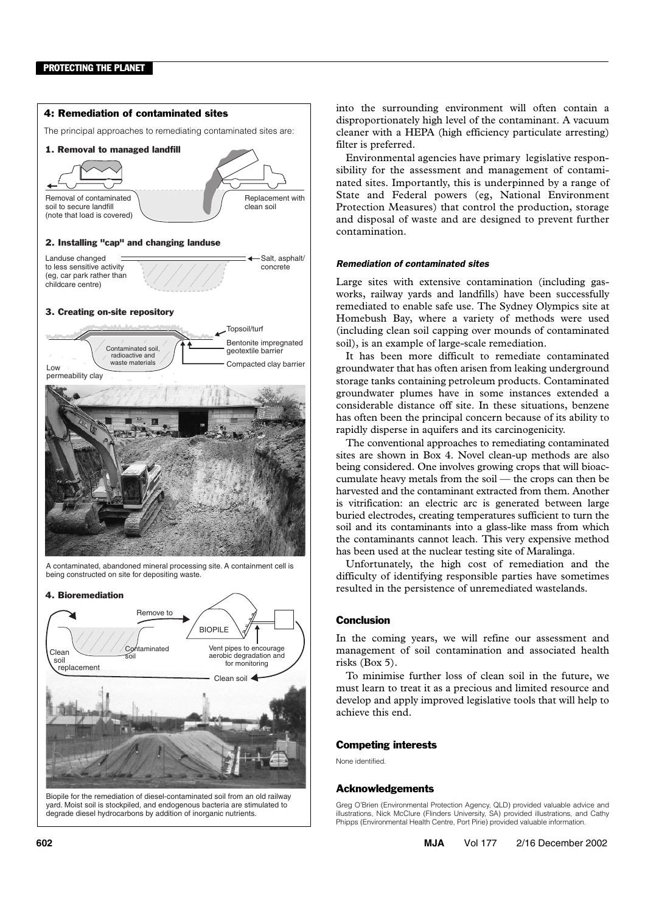

yard. Moist soil is stockpiled, and endogenous bacteria are stimulated to degrade diesel hydrocarbons by addition of inorganic nutrients.

into the surrounding environment will often contain a disproportionately high level of the contaminant. A vacuum cleaner with a HEPA (high efficiency particulate arresting) filter is preferred.

Environmental agencies have primary legislative responsibility for the assessment and management of contaminated sites. Importantly, this is underpinned by a range of State and Federal powers (eg, National Environment Protection Measures) that control the production, storage and disposal of waste and are designed to prevent further contamination.

# *Remediation of contaminated sites*

Large sites with extensive contamination (including gasworks, railway yards and landfills) have been successfully remediated to enable safe use. The Sydney Olympics site at Homebush Bay, where a variety of methods were used (including clean soil capping over mounds of contaminated soil), is an example of large-scale remediation.

It has been more difficult to remediate contaminated groundwater that has often arisen from leaking underground storage tanks containing petroleum products. Contaminated groundwater plumes have in some instances extended a considerable distance off site. In these situations, benzene has often been the principal concern because of its ability to rapidly disperse in aquifers and its carcinogenicity.

The conventional approaches to remediating contaminated sites are shown in Box 4. Novel clean-up methods are also being considered. One involves growing crops that will bioaccumulate heavy metals from the soil — the crops can then be harvested and the contaminant extracted from them. Another is vitrification: an electric arc is generated between large buried electrodes, creating temperatures sufficient to turn the soil and its contaminants into a glass-like mass from which the contaminants cannot leach. This very expensive method has been used at the nuclear testing site of Maralinga.

Unfortunately, the high cost of remediation and the difficulty of identifying responsible parties have sometimes resulted in the persistence of unremediated wastelands.

# **Conclusion**

In the coming years, we will refine our assessment and management of soil contamination and associated health risks (Box 5).

To minimise further loss of clean soil in the future, we must learn to treat it as a precious and limited resource and develop and apply improved legislative tools that will help to achieve this end.

# Competing interests

None identified.

# Acknowledgements

Greg O'Brien (Environmental Protection Agency, QLD) provided valuable advice and illustrations, Nick McClure (Flinders University, SA) provided illustrations, and Cathy Phipps (Environmental Health Centre, Port Pirie) provided valuable information.